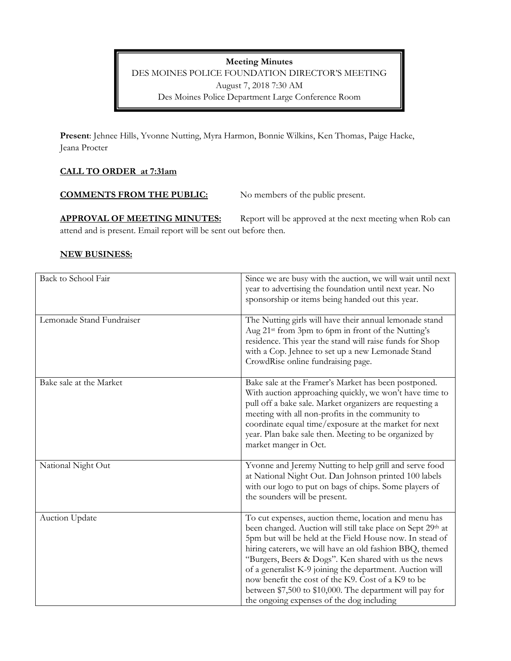**Meeting Minutes**  DES MOINES POLICE FOUNDATION DIRECTOR'S MEETING August 7, 2018 7:30 AM Des Moines Police Department Large Conference Room

**Present**: Jehnee Hills, Yvonne Nutting, Myra Harmon, Bonnie Wilkins, Ken Thomas, Paige Hacke, Jeana Procter

### **CALL TO ORDER at 7:31am**

**COMMENTS FROM THE PUBLIC:** No members of the public present.

**APPROVAL OF MEETING MINUTES:** Report will be approved at the next meeting when Rob can attend and is present. Email report will be sent out before then.

#### **NEW BUSINESS:**

| Back to School Fair       | Since we are busy with the auction, we will wait until next<br>year to advertising the foundation until next year. No<br>sponsorship or items being handed out this year.                                                                                                                                                                                                                                                                                                                                                       |
|---------------------------|---------------------------------------------------------------------------------------------------------------------------------------------------------------------------------------------------------------------------------------------------------------------------------------------------------------------------------------------------------------------------------------------------------------------------------------------------------------------------------------------------------------------------------|
| Lemonade Stand Fundraiser | The Nutting girls will have their annual lemonade stand<br>Aug 21 <sup>st</sup> from 3pm to 6pm in front of the Nutting's<br>residence. This year the stand will raise funds for Shop<br>with a Cop. Jehnee to set up a new Lemonade Stand<br>CrowdRise online fundraising page.                                                                                                                                                                                                                                                |
| Bake sale at the Market   | Bake sale at the Framer's Market has been postponed.<br>With auction approaching quickly, we won't have time to<br>pull off a bake sale. Market organizers are requesting a<br>meeting with all non-profits in the community to<br>coordinate equal time/exposure at the market for next<br>year. Plan bake sale then. Meeting to be organized by<br>market manger in Oct.                                                                                                                                                      |
| National Night Out        | Yvonne and Jeremy Nutting to help grill and serve food<br>at National Night Out. Dan Johnson printed 100 labels<br>with our logo to put on bags of chips. Some players of<br>the sounders will be present.                                                                                                                                                                                                                                                                                                                      |
| Auction Update            | To cut expenses, auction theme, location and menu has<br>been changed. Auction will still take place on Sept 29th at<br>5pm but will be held at the Field House now. In stead of<br>hiring caterers, we will have an old fashion BBQ, themed<br>"Burgers, Beers & Dogs". Ken shared with us the news<br>of a generalist K-9 joining the department. Auction will<br>now benefit the cost of the K9. Cost of a K9 to be<br>between \$7,500 to \$10,000. The department will pay for<br>the ongoing expenses of the dog including |